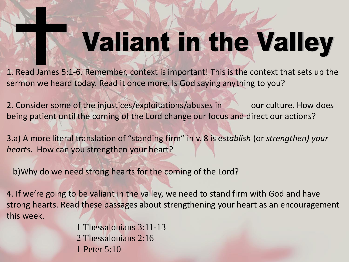## **Valiant in the Valley**

1. Read James 5:1-6. Remember, context is important! This is the context that sets up the sermon we heard today. Read it once more. Is God saying anything to you?

2. Consider some of the injustices/exploitations/abuses in our culture. How does being patient until the coming of the Lord change our focus and direct our actions?

3.a) A more literal translation of "standing firm" in v. 8 is e*stablish* (or *strengthen) your hearts*. How can you strengthen your heart?

b)Why do we need strong hearts for the coming of the Lord?

4. If we're going to be valiant in the valley, we need to stand firm with God and have strong hearts. Read these passages about strengthening your heart as an encouragement this week.

> 1 Thessalonians 3:11-13 2 Thessalonians 2:16 1 Peter 5:10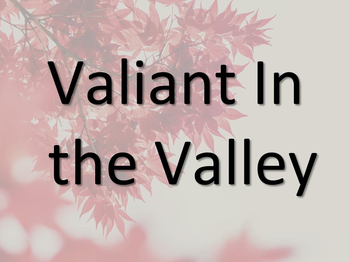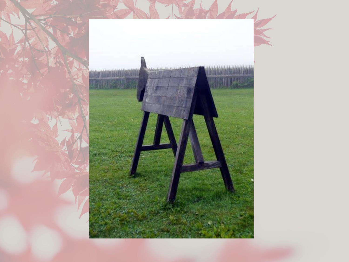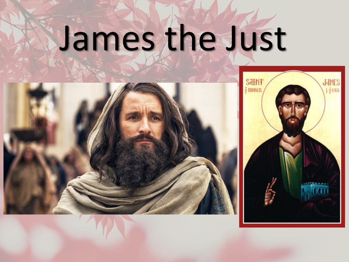## James the Just



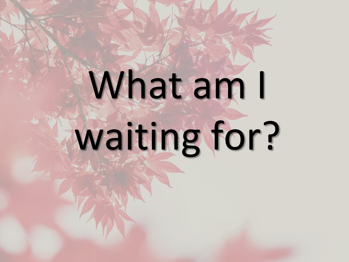## What am I waiting for?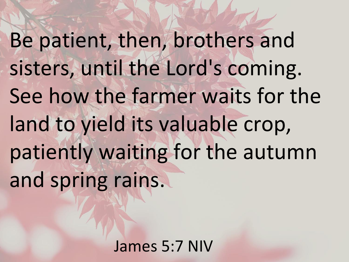Be patient, then, brothers and sisters, until the Lord's coming. See how the farmer waits for the land to yield its valuable crop, patiently waiting for the autumn and spring rains.

James 5:7 NIV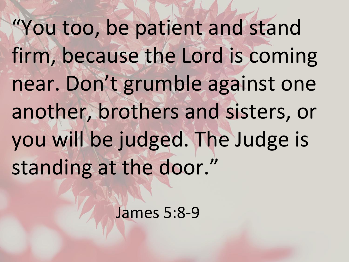"You too, be patient and stand firm, because the Lord is coming near. Don't grumble against one another, brothers and sisters, or you will be judged. The Judge is standing at the door."

James 5:8-9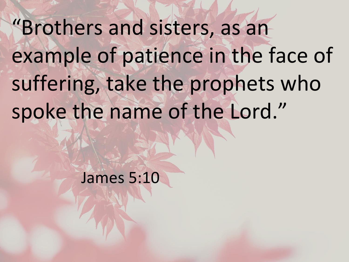"Brothers and sisters, as an example of patience in the face of suffering, take the prophets who spoke the name of the Lord."

James 5:10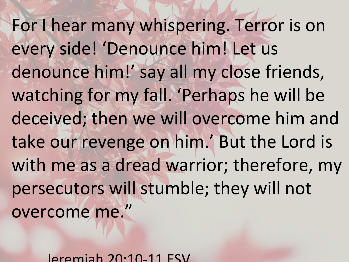For I hear many whispering. Terror is on every side! 'Denounce him! Let us denounce him!' say all my close friends, watching for my fall. 'Perhaps he will be deceived; then we will overcome him and take our revenge on him.' But the Lord is with me as a dread warrior; therefore, my persecutors will stumble; they will not overcome me."

Jeremiah 20:10-11 ESV